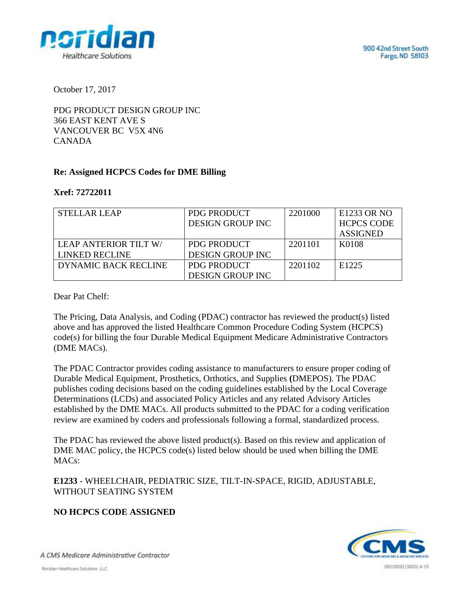900 42nd Street South Fargo, ND 58103



October 17, 2017

PDG PRODUCT DESIGN GROUP INC 366 EAST KENT AVE S VANCOUVER BC V5X 4N6 CANADA

# **Re: Assigned HCPCS Codes for DME Billing**

#### **Xref: 72722011**

| <b>STELLAR LEAP</b>   | <b>PDG PRODUCT</b>      | 2201000 | E1233 OR NO       |
|-----------------------|-------------------------|---------|-------------------|
|                       | <b>DESIGN GROUP INC</b> |         | <b>HCPCS CODE</b> |
|                       |                         |         | <b>ASSIGNED</b>   |
| LEAP ANTERIOR TILT W/ | PDG PRODUCT             | 2201101 | K0108             |
| <b>LINKED RECLINE</b> | <b>DESIGN GROUP INC</b> |         |                   |
| DYNAMIC BACK RECLINE  | PDG PRODUCT             | 2201102 | E <sub>1225</sub> |
|                       | <b>DESIGN GROUP INC</b> |         |                   |

Dear Pat Chelf:

The Pricing, Data Analysis, and Coding (PDAC) contractor has reviewed the product(s) listed above and has approved the listed Healthcare Common Procedure Coding System (HCPCS) code(s) for billing the four Durable Medical Equipment Medicare Administrative Contractors (DME MACs).

The PDAC Contractor provides coding assistance to manufacturers to ensure proper coding of Durable Medical Equipment, Prosthetics, Orthotics, and Supplies **(**DMEPOS). The PDAC publishes coding decisions based on the coding guidelines established by the Local Coverage Determinations (LCDs) and associated Policy Articles and any related Advisory Articles established by the DME MACs. All products submitted to the PDAC for a coding verification review are examined by coders and professionals following a formal, standardized process.

The PDAC has reviewed the above listed product(s). Based on this review and application of DME MAC policy, the HCPCS code(s) listed below should be used when billing the DME MACs:

**E1233** - WHEELCHAIR, PEDIATRIC SIZE, TILT-IN-SPACE, RIGID, ADJUSTABLE, WITHOUT SEATING SYSTEM

# **NO HCPCS CODE ASSIGNED**



A CMS Medicare Administrative Contractor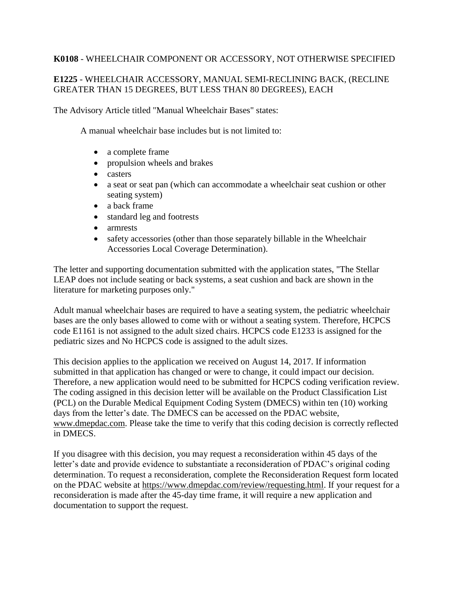#### **K0108** - WHEELCHAIR COMPONENT OR ACCESSORY, NOT OTHERWISE SPECIFIED

# **E1225** - WHEELCHAIR ACCESSORY, MANUAL SEMI-RECLINING BACK, (RECLINE GREATER THAN 15 DEGREES, BUT LESS THAN 80 DEGREES), EACH

The Advisory Article titled "Manual Wheelchair Bases" states:

A manual wheelchair base includes but is not limited to:

- a complete frame
- propulsion wheels and brakes
- casters
- a seat or seat pan (which can accommodate a wheelchair seat cushion or other seating system)
- a back frame
- standard leg and footrests
- armrests
- safety accessories (other than those separately billable in the Wheelchair Accessories Local Coverage Determination).

The letter and supporting documentation submitted with the application states, "The Stellar LEAP does not include seating or back systems, a seat cushion and back are shown in the literature for marketing purposes only."

Adult manual wheelchair bases are required to have a seating system, the pediatric wheelchair bases are the only bases allowed to come with or without a seating system. Therefore, HCPCS code E1161 is not assigned to the adult sized chairs. HCPCS code E1233 is assigned for the pediatric sizes and No HCPCS code is assigned to the adult sizes.

This decision applies to the application we received on August 14, 2017. If information submitted in that application has changed or were to change, it could impact our decision. Therefore, a new application would need to be submitted for HCPCS coding verification review. The coding assigned in this decision letter will be available on the Product Classification List (PCL) on the Durable Medical Equipment Coding System (DMECS) within ten (10) working days from the letter's date. The DMECS can be accessed on the PDAC website, www.dmepdac.com. Please take the time to verify that this coding decision is correctly reflected in DMECS.

If you disagree with this decision, you may request a reconsideration within 45 days of the letter's date and provide evidence to substantiate a reconsideration of PDAC's original coding determination. To request a reconsideration, complete the Reconsideration Request form located on the PDAC website at https://www.dmepdac.com/review/requesting.html. If your request for a reconsideration is made after the 45-day time frame, it will require a new application and documentation to support the request.